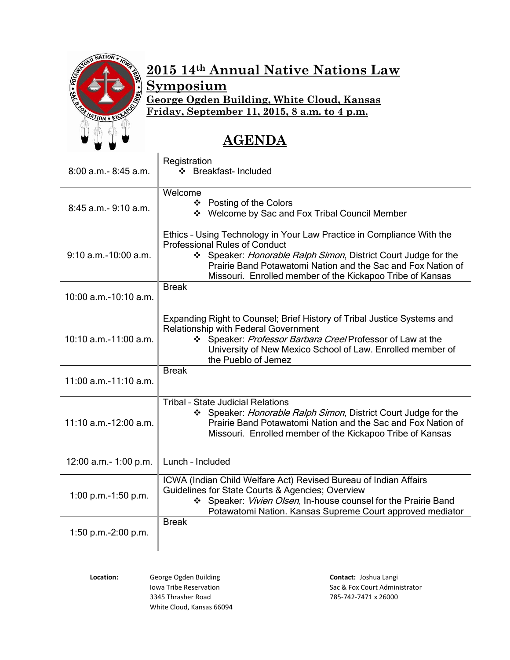

# **2015 14th Annual Native Nations Law**

**Symposium**

**George Ogden Building, White Cloud, Kansas**

**Friday, September 11, 2015, 8 a.m. to 4 p.m.**

# **AGENDA**

| $8:00$ a.m. $-8:45$ a.m. | Registration<br>❖ Breakfast- Included                                                                                                                                                                                                                                                                      |
|--------------------------|------------------------------------------------------------------------------------------------------------------------------------------------------------------------------------------------------------------------------------------------------------------------------------------------------------|
| 8:45 a.m. - 9:10 a.m.    | Welcome<br>❖ Posting of the Colors<br>❖ Welcome by Sac and Fox Tribal Council Member                                                                                                                                                                                                                       |
| $9:10$ a.m.-10:00 a.m.   | Ethics - Using Technology in Your Law Practice in Compliance With the<br><b>Professional Rules of Conduct</b><br>Speaker: Honorable Ralph Simon, District Court Judge for the<br>Prairie Band Potawatomi Nation and the Sac and Fox Nation of<br>Missouri. Enrolled member of the Kickapoo Tribe of Kansas |
| 10:00 a.m.-10:10 a.m.    | <b>Break</b>                                                                                                                                                                                                                                                                                               |
| $10:10$ a.m.-11:00 a.m.  | Expanding Right to Counsel; Brief History of Tribal Justice Systems and<br><b>Relationship with Federal Government</b><br>Speaker: Professor Barbara Cree/Professor of Law at the<br>University of New Mexico School of Law. Enrolled member of<br>the Pueblo of Jemez                                     |
| 11:00 a.m.-11:10 a.m.    | <b>Break</b>                                                                                                                                                                                                                                                                                               |
| 11:10 a.m.-12:00 a.m.    | <b>Tribal - State Judicial Relations</b><br>Speaker: Honorable Ralph Simon, District Court Judge for the<br>Prairie Band Potawatomi Nation and the Sac and Fox Nation of<br>Missouri. Enrolled member of the Kickapoo Tribe of Kansas                                                                      |
| 12:00 a.m.- 1:00 p.m.    | Lunch - Included                                                                                                                                                                                                                                                                                           |
| 1:00 p.m.-1:50 p.m.      | ICWA (Indian Child Welfare Act) Revised Bureau of Indian Affairs<br>Guidelines for State Courts & Agencies; Overview<br>Speaker: Vivien Olsen, In-house counsel for the Prairie Band<br>Potawatomi Nation. Kansas Supreme Court approved mediator                                                          |
| 1:50 p.m.-2:00 p.m.      | <b>Break</b>                                                                                                                                                                                                                                                                                               |

**Location:** George Ogden Building **Contact:** Joshua Langi White Cloud, Kansas 66094

Iowa Tribe Reservation **Sac & Fox Court Administrator** Sac & Fox Court Administrator 3345 Thrasher Road 785-742-7471 x 26000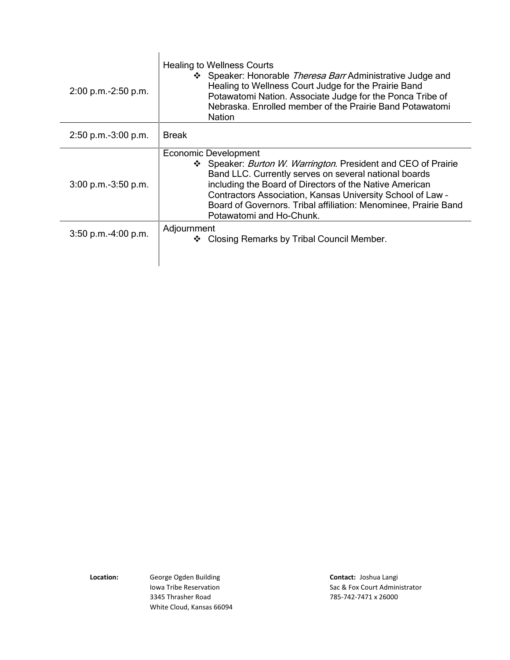| $2:00$ p.m.- $2:50$ p.m. | <b>Healing to Wellness Courts</b><br>❖ Speaker: Honorable Theresa Barr Administrative Judge and<br>Healing to Wellness Court Judge for the Prairie Band<br>Potawatomi Nation. Associate Judge for the Ponca Tribe of<br>Nebraska. Enrolled member of the Prairie Band Potawatomi<br><b>Nation</b>                                                                              |
|--------------------------|--------------------------------------------------------------------------------------------------------------------------------------------------------------------------------------------------------------------------------------------------------------------------------------------------------------------------------------------------------------------------------|
| $2:50$ p.m.-3:00 p.m.    | <b>Break</b>                                                                                                                                                                                                                                                                                                                                                                   |
| $3:00$ p.m.- $3:50$ p.m. | Economic Development<br>❖ Speaker: <i>Burton W. Warrington</i> . President and CEO of Prairie<br>Band LLC. Currently serves on several national boards<br>including the Board of Directors of the Native American<br>Contractors Association, Kansas University School of Law -<br>Board of Governors. Tribal affiliation: Menominee, Prairie Band<br>Potawatomi and Ho-Chunk. |
| $3:50$ p.m. $-4:00$ p.m. | Adjournment<br>Closing Remarks by Tribal Council Member.<br>❖                                                                                                                                                                                                                                                                                                                  |

**Location:** George Ogden Building **Contact:** Joshua Langi 3345 Thrasher Road 785-742-7471 x 26000 White Cloud, Kansas 66094

Iowa Tribe Reservation **Sac & Fox Court Administrator** Sac & Fox Court Administrator